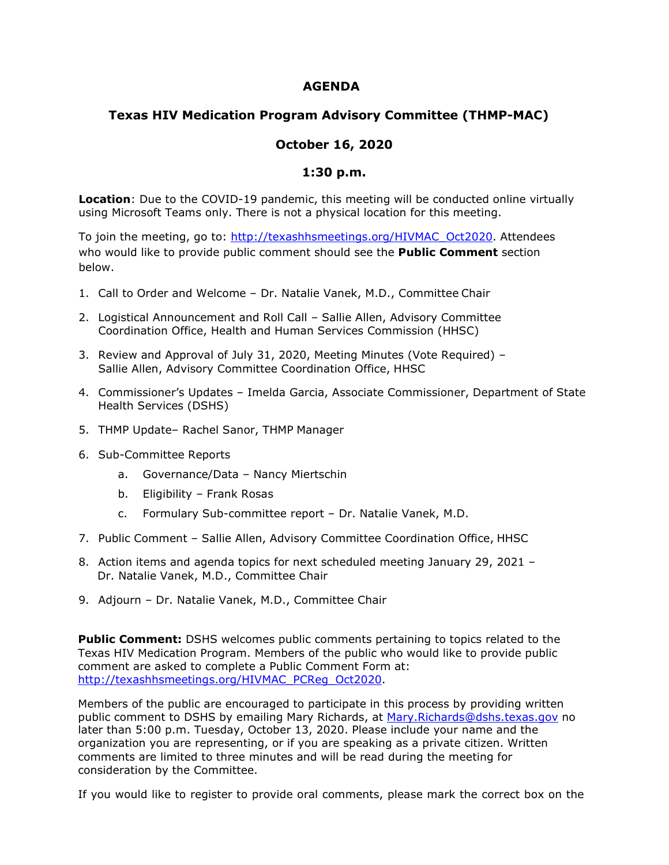## **AGENDA**

## **Texas HIV Medication Program Advisory Committee (THMP-MAC)**

## **October 16, 2020**

## **1:30 p.m.**

**Location**: Due to the COVID-19 pandemic, this meeting will be conducted online virtually using Microsoft Teams only. There is not a physical location for this meeting.

To join the meeting, go to: [http://texashhsmeetings.org/HIVMAC\\_Oct2020.](http://texashhsmeetings.org/HIVMAC_Oct2020) Attendees who would like to provide public comment should see the **Public Comment** section below.

- 1. Call to Order and Welcome Dr. Natalie Vanek, M.D., Committee Chair
- 2. Logistical Announcement and Roll Call Sallie Allen, Advisory Committee Coordination Office, Health and Human Services Commission (HHSC)
- 3. Review and Approval of July 31, 2020, Meeting Minutes (Vote Required) Sallie Allen, Advisory Committee Coordination Office, HHSC
- 4. Commissioner's Updates Imelda Garcia, Associate Commissioner, Department of State Health Services (DSHS)
- 5. THMP Update– Rachel Sanor, THMP Manager
- 6. Sub-Committee Reports
	- a. Governance/Data Nancy Miertschin
	- b. Eligibility Frank Rosas
	- c. Formulary Sub-committee report Dr. Natalie Vanek, M.D.
- 7. Public Comment Sallie Allen, Advisory Committee Coordination Office, HHSC
- 8. Action items and agenda topics for next scheduled meeting January 29, 2021 Dr. Natalie Vanek, M.D., Committee Chair
- 9. Adjourn Dr. Natalie Vanek, M.D., Committee Chair

**Public Comment:** DSHS welcomes public comments pertaining to topics related to the Texas HIV Medication Program. Members of the public who would like to provide public comment are asked to complete a Public Comment Form at: [http://texashhsmeetings.org/HIVMAC\\_PCReg\\_Oct2020.](http://texashhsmeetings.org/HIVMAC_PCReg_Oct2020)

Members of the public are encouraged to participate in this process by providing written public comment to DSHS by emailing Mary Richards, at [Mary.Richards@dshs.texas.gov](mailto:Mary.Richards@dshs.texas.gov) no later than 5:00 p.m. Tuesday, October 13, 2020. Please include your name and the organization you are representing, or if you are speaking as a private citizen. Written comments are limited to three minutes and will be read during the meeting for consideration by the Committee.

If you would like to register to provide oral comments, please mark the correct box on the